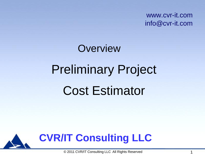www.cvr-it.com info@cvr-it.com

# Preliminary Project Cost Estimator **Overview**



© 2011 CVR/IT Consulting LLC All Rights Reserved 1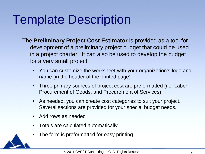## Template Description

- The **Preliminary Project Cost Estimator** is provided as a tool for development of a preliminary project budget that could be used in a project charter. It can also be used to develop the budget for a very small project.
	- You can customize the worksheet with your organization's logo and name (in the header of the printed page)
	- Three primary sources of project cost are preformatted (i.e. Labor, Procurement of Goods, and Procurement of Services)
	- As needed, you can create cost categories to suit your project. Several sections are provided for your special budget needs.
	- Add rows as needed
	- Totals are calculated automatically
	- The form is preformatted for easy printing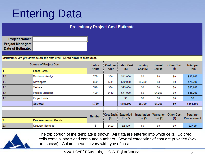#### Entering Data

#### **Preliminary Project Cost Estimate**

| Project Name:           |  |
|-------------------------|--|
| <b>Project Manager:</b> |  |
| Date of Estimate:       |  |

Instructions are provided below the data area. Scroll down to read them.

| <b>Source of Project Cost</b> |                             | Labor         |                  | Cost per   Labor Cost | <b>Training</b>         | <b>Travel</b> | <b>Other Cost</b> | <b>Total per</b>   |
|-------------------------------|-----------------------------|---------------|------------------|-----------------------|-------------------------|---------------|-------------------|--------------------|
|                               | <b>Labor Costs</b>          | <b>Hours</b>  | hour             | (5)                   | $Cost($ \$)             | $Cost($ \$)   | (5)               | <b>Role</b>        |
| 1.1                           | <b>Business Analyst</b>     | 200           | \$60             | \$12,000              | \$0                     | \$0           | \$0               | \$12,000           |
| 1.2                           | Developers                  | 800           | \$90             | \$72,000              | \$6,300                 | \$0           | \$0               | \$78,300           |
| 1.3                           | Testers                     | 320           | \$80             | \$25,600              | \$0                     | \$0           | \$0               | \$25,600           |
| 1.4                           | <b>Project Manager</b>      | 400           | \$110            | \$44,000              | \$0                     | \$1,200       | \$0               | \$45,200           |
| 1.5                           | Project Role 5              |               |                  | \$0                   | \$0                     | \$0           | \$0               | \$0                |
|                               | <b>Subtotal</b>             | 1,720         |                  | \$153,600             | \$6,300                 | \$1,200       | \$0               | \$161,100          |
|                               |                             |               |                  |                       |                         |               |                   |                    |
|                               |                             | <b>Number</b> | <b>Cost Each</b> | Extended              | Installation   Warranty |               | <b>Other Cost</b> | <b>Total per</b>   |
| $\overline{2}$                | <b>Procurements - Goods</b> |               | $($ \$)          | Cost \$               | $Cost($ \$)             | $Cost($ \$)   | (5)               | <b>Procurement</b> |
| 2.1                           | Software licenses           | 5             | \$420            | \$2,100               | \$0                     | \$0           | \$0               | \$2,100            |



The top portion of the template is shown. All data are entered into white cells. Colored cells contain labels and computed numbers. Several categories of cost are provided (two are shown). Column heading vary with type of cost.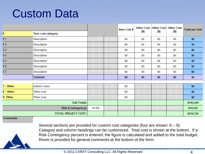#### Custom Data

|           |                            |       | Item Cost \$ |         |         | Other Cost   Other Cost   Other Cost | <b>Total per Unit</b> |
|-----------|----------------------------|-------|--------------|---------|---------|--------------------------------------|-----------------------|
| 6         | Your cost category         |       |              | $($ \$) | $($ \$) | $($ \$)                              |                       |
| 9.1       | Description                |       | \$0          | \$0     | \$0     | \$0                                  | \$0                   |
| 9.2       | Description                |       | \$0          | \$0     | \$0     | \$0                                  | \$0                   |
| 9.3       | Description                |       | \$0          | \$0     | \$0     | \$0                                  | \$0                   |
| 9.4       | Description                |       | \$0          | \$0     | \$0     | \$0                                  | \$0                   |
| 9.5       | Description                |       | \$0          | \$0     | \$0     | \$0                                  | \$0                   |
| 9.6       | Description                |       | \$0          | \$0     | \$0     | \$0                                  | \$0                   |
| 9.7       | Description                |       | \$0          | \$0     | \$0     | \$0                                  | \$0                   |
|           | Subtotal                   |       | \$0          | \$0     | \$0     | \$0                                  | \$0                   |
|           |                            |       |              |         |         |                                      |                       |
| 7 - Other | Indirect costs             |       | \$0          |         |         |                                      | \$0                   |
| 8 - Other | Other cost                 |       | \$0          |         |         |                                      | \$0                   |
| 9- Other  | Other cost                 |       | \$0          |         |         |                                      | \$0                   |
|           | Sub-Totals:                |       |              |         |         |                                      | \$195,200             |
|           | Risk (Contingency):        | 10.0% |              |         |         |                                      | \$19,520              |
|           | <b>TOTAL PROJECT COST:</b> |       |              |         |         |                                      | \$214,720             |

**Comments:** 



Several sections are provided for custom cost categories (four are shown: 6 – 9). Category and column headings can be customized. Total cost is shown at the bottom. If a Risk Contingency percent is entered, the figure is calculated and added to the total budget. Room is provided for general comments at the bottom of the form.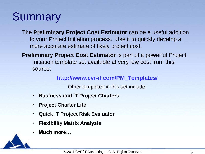#### **Summary**

The **Preliminary Project Cost Estimator** can be a useful addition to your Project Initiation process. Use it to quickly develop a more accurate estimate of likely project cost.

**Preliminary Project Cost Estimator** is part of a powerful Project Initiation template set available at very low cost from this source:

#### **http://www.cvr-it.com/PM\_Templates/**

Other templates in this set include:

- **Business and IT Project Charters**
- **Project Charter Lite**
- **Quick IT Project Risk Evaluator**
- **Flexibility Matrix Analysis**
- **Much more…**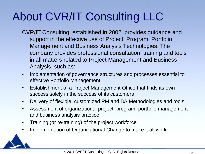### About CVR/IT Consulting LLC

- CVR/IT Consulting, established in 2002, provides guidance and support in the effective use of Project, Program, Portfolio Management and Business Analysis Technologies. The company provides professional consultation, training and tools in all matters related to Project Management and Business Analysis, such as:
- Implementation of governance structures and processes essential to effective Portfolio Management
- Establishment of a Project Management Office that finds its own success solely in the success of its customers
- Delivery of flexible, customized PM and BA Methodologies and tools
- Assessment of organizational project, program, portfolio management and business analysis practice
- Training (or re-training) of the project workforce
- Implementation of Organizational Change to make it all work